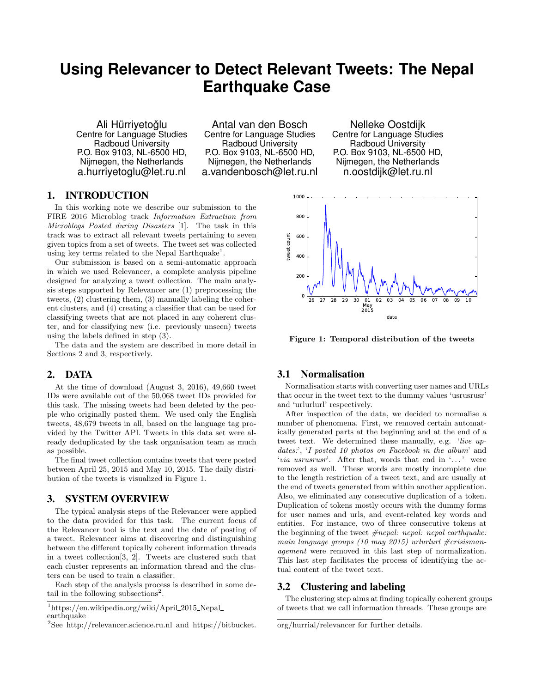# **Using Relevancer to Detect Relevant Tweets: The Nepal Earthquake Case**

Ali Hürrivetoğlu Centre for Language Studies Radboud University P.O. Box 9103, NL-6500 HD, Nijmegen, the Netherlands a.hurriyetoglu@let.ru.nl

Antal van den Bosch Centre for Language Studies Radboud University P.O. Box 9103, NL-6500 HD, Nijmegen, the Netherlands a.vandenbosch@let.ru.nl

Nelleke Oostdijk Centre for Language Studies Radboud University P.O. Box 9103, NL-6500 HD, Nijmegen, the Netherlands n.oostdijk@let.ru.nl

# 1. INTRODUCTION

In this working note we describe our submission to the FIRE 2016 Microblog track Information Extraction from Microblogs Posted during Disasters [1]. The task in this track was to extract all relevant tweets pertaining to seven given topics from a set of tweets. The tweet set was collected using key terms related to the Nepal Earthquake<sup>1</sup>.

Our submission is based on a semi-automatic approach in which we used Relevancer, a complete analysis pipeline designed for analyzing a tweet collection. The main analysis steps supported by Relevancer are (1) preprocessing the tweets, (2) clustering them, (3) manually labeling the coherent clusters, and (4) creating a classifier that can be used for classifying tweets that are not placed in any coherent cluster, and for classifying new (i.e. previously unseen) tweets using the labels defined in step (3).

The data and the system are described in more detail in Sections 2 and 3, respectively.

## 2. DATA

At the time of download (August 3, 2016), 49,660 tweet IDs were available out of the 50,068 tweet IDs provided for this task. The missing tweets had been deleted by the people who originally posted them. We used only the English tweets, 48,679 tweets in all, based on the language tag provided by the Twitter API. Tweets in this data set were already deduplicated by the task organisation team as much as possible.

The final tweet collection contains tweets that were posted between April 25, 2015 and May 10, 2015. The daily distribution of the tweets is visualized in Figure 1.

#### 3. SYSTEM OVERVIEW

The typical analysis steps of the Relevancer were applied to the data provided for this task. The current focus of the Relevancer tool is the text and the date of posting of a tweet. Relevancer aims at discovering and distinguishing between the different topically coherent information threads in a tweet collection[3, 2]. Tweets are clustered such that each cluster represents an information thread and the clusters can be used to train a classifier.

Each step of the analysis process is described in some detail in the following subsections<sup>2</sup>.



Figure 1: Temporal distribution of the tweets

#### 3.1 Normalisation

Normalisation starts with converting user names and URLs that occur in the tweet text to the dummy values 'usrusrusr' and 'urlurlurl' respectively.

After inspection of the data, we decided to normalise a number of phenomena. First, we removed certain automatically generated parts at the beginning and at the end of a tweet text. We determined these manually, e.g. 'live updates:', 'I posted 10 photos on Facebook in the album' and 'via usrusrusr'. After that, words that end in '...' were removed as well. These words are mostly incomplete due to the length restriction of a tweet text, and are usually at the end of tweets generated from within another application. Also, we eliminated any consecutive duplication of a token. Duplication of tokens mostly occurs with the dummy forms for user names and urls, and event-related key words and entities. For instance, two of three consecutive tokens at the beginning of the tweet  $\#nepal: nepal: nepal: earthquake:$ main language groups (10 may 2015) urlurlurl  $\#crisisman$ agement were removed in this last step of normalization. This last step facilitates the process of identifying the actual content of the tweet text.

# 3.2 Clustering and labeling

The clustering step aims at finding topically coherent groups of tweets that we call information threads. These groups are

 $1$ https://en.wikipedia.org/wiki/April 2015 Nepal earthquake

<sup>2</sup>See http://relevancer.science.ru.nl and https://bitbucket.

org/hurrial/relevancer for further details.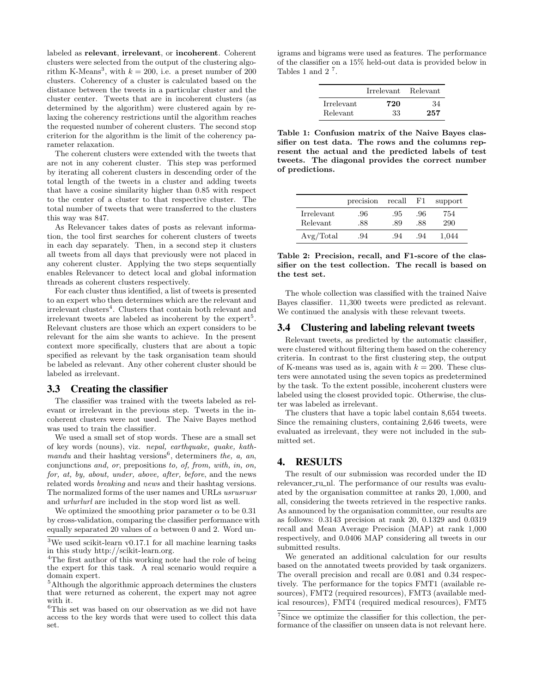labeled as relevant, irrelevant, or incoherent. Coherent clusters were selected from the output of the clustering algorithm K-Means<sup>3</sup>, with  $k = 200$ , i.e. a preset number of 200 clusters. Coherency of a cluster is calculated based on the distance between the tweets in a particular cluster and the cluster center. Tweets that are in incoherent clusters (as determined by the algorithm) were clustered again by relaxing the coherency restrictions until the algorithm reaches the requested number of coherent clusters. The second stop criterion for the algorithm is the limit of the coherency parameter relaxation.

The coherent clusters were extended with the tweets that are not in any coherent cluster. This step was performed by iterating all coherent clusters in descending order of the total length of the tweets in a cluster and adding tweets that have a cosine similarity higher than 0.85 with respect to the center of a cluster to that respective cluster. The total number of tweets that were transferred to the clusters this way was 847.

As Relevancer takes dates of posts as relevant information, the tool first searches for coherent clusters of tweets in each day separately. Then, in a second step it clusters all tweets from all days that previously were not placed in any coherent cluster. Applying the two steps sequentially enables Relevancer to detect local and global information threads as coherent clusters respectively.

For each cluster thus identified, a list of tweets is presented to an expert who then determines which are the relevant and irrelevant clusters<sup>4</sup>. Clusters that contain both relevant and irrelevant tweets are labeled as incoherent by the expert<sup>5</sup>. Relevant clusters are those which an expert considers to be relevant for the aim she wants to achieve. In the present context more specifically, clusters that are about a topic specified as relevant by the task organisation team should be labeled as relevant. Any other coherent cluster should be labeled as irrelevant.

#### 3.3 Creating the classifier

The classifier was trained with the tweets labeled as relevant or irrelevant in the previous step. Tweets in the incoherent clusters were not used. The Naive Bayes method was used to train the classifier.

We used a small set of stop words. These are a small set of key words (nouns), viz. nepal, earthquake, quake, kathmandu and their hashtag versions<sup>6</sup>, determiners the, a, an, conjunctions and, or, prepositions to, of, from, with, in, on, for, at, by, about, under, above, after, before, and the news related words breaking and news and their hashtag versions. The normalized forms of the user names and URLs usrusrusr and urlurlurl are included in the stop word list as well.

We optimized the smoothing prior parameter  $\alpha$  to be 0.31 by cross-validation, comparing the classifier performance with equally separated 20 values of  $\alpha$  between 0 and 2. Word un-

igrams and bigrams were used as features. The performance of the classifier on a 15% held-out data is provided below in Tables 1 and  $2^7$ .

|            | Irrelevant | Relevant |
|------------|------------|----------|
| Irrelevant | 720        | 34       |
| Relevant   | 33         | 257      |

Table 1: Confusion matrix of the Naive Bayes classifier on test data. The rows and the columns represent the actual and the predicted labels of test tweets. The diagonal provides the correct number of predictions.

|            | precision | recall | F1. | support |
|------------|-----------|--------|-----|---------|
| Irrelevant | .96       | .95    | .96 | 754     |
| Relevant   | .88       | .89    | .88 | 290     |
| Avg/Total  | .94       | .94    | .94 | 1.044   |

Table 2: Precision, recall, and F1-score of the classifier on the test collection. The recall is based on the test set.

The whole collection was classified with the trained Naive Bayes classifier. 11,300 tweets were predicted as relevant. We continued the analysis with these relevant tweets.

#### 3.4 Clustering and labeling relevant tweets

Relevant tweets, as predicted by the automatic classifier, were clustered without filtering them based on the coherency criteria. In contrast to the first clustering step, the output of K-means was used as is, again with  $k = 200$ . These clusters were annotated using the seven topics as predetermined by the task. To the extent possible, incoherent clusters were labeled using the closest provided topic. Otherwise, the cluster was labeled as irrelevant.

The clusters that have a topic label contain 8,654 tweets. Since the remaining clusters, containing 2,646 tweets, were evaluated as irrelevant, they were not included in the submitted set.

## 4. RESULTS

The result of our submission was recorded under the ID relevancer\_ru\_nl. The performance of our results was evaluated by the organisation committee at ranks 20, 1,000, and all, considering the tweets retrieved in the respective ranks. As announced by the organisation committee, our results are as follows: 0.3143 precision at rank 20, 0.1329 and 0.0319 recall and Mean Average Precision (MAP) at rank 1,000 respectively, and 0.0406 MAP considering all tweets in our submitted results.

We generated an additional calculation for our results based on the annotated tweets provided by task organizers. The overall precision and recall are 0.081 and 0.34 respectively. The performance for the topics FMT1 (available resources), FMT2 (required resources), FMT3 (available medical resources), FMT4 (required medical resources), FMT5

 ${}^{3}\mathrm{We}$  used scikit-learn v0.17.1 for all machine learning tasks in this study http://scikit-learn.org.

 $4$ The first author of this working note had the role of being the expert for this task. A real scenario would require a domain expert.

<sup>&</sup>lt;sup>5</sup>Although the algorithmic approach determines the clusters that were returned as coherent, the expert may not agree with it.

 $^6\mathrm{This}$  set was based on our observation as we did not have access to the key words that were used to collect this data set.

<sup>7</sup>Since we optimize the classifier for this collection, the performance of the classifier on unseen data is not relevant here.